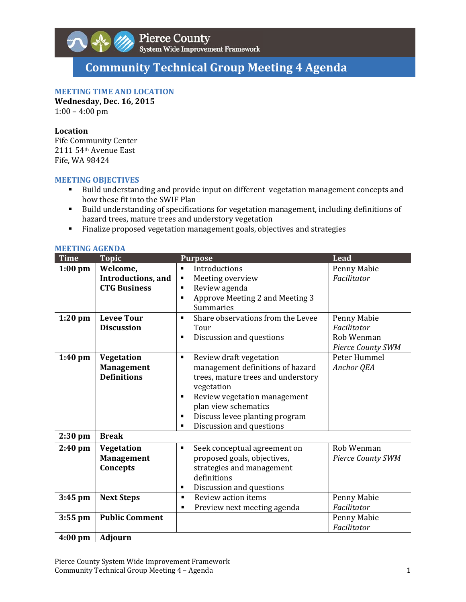

# **Community Technical Group Meeting 4 Agenda**

# **MEETING TIME AND LOCATION**

**Wednesday, Dec. 16, 2015**  $1:00 - 4:00$  pm

#### **Location**

Fife Community Center 2111 54<sup>th</sup> Avenue East Fife, WA 98424

## **MEETING OBJECTIVES**

- Build understanding and provide input on different vegetation management concepts and how these fit into the SWIF Plan
- Build understanding of specifications for vegetation management, including definitions of hazard trees, mature trees and understory vegetation
- Finalize proposed vegetation management goals, objectives and strategies

| MEE I INU AUENDA<br><b>Time</b> | <b>Topic</b>                                                  | <b>Purpose</b>                                                                                                                                                                                                                                                         | <b>Lead</b>                                                   |
|---------------------------------|---------------------------------------------------------------|------------------------------------------------------------------------------------------------------------------------------------------------------------------------------------------------------------------------------------------------------------------------|---------------------------------------------------------------|
| $1:00$ pm                       | Welcome,<br><b>Introductions</b> , and<br><b>CTG Business</b> | Introductions<br>٠<br>Meeting overview<br>٠<br>Review agenda<br>$\blacksquare$<br>Approve Meeting 2 and Meeting 3<br>٠<br>Summaries                                                                                                                                    | Penny Mabie<br>Facilitator                                    |
| $1:20$ pm                       | <b>Levee Tour</b><br><b>Discussion</b>                        | Share observations from the Levee<br>٠<br>Tour<br>Discussion and questions<br>$\blacksquare$                                                                                                                                                                           | Penny Mabie<br>Facilitator<br>Rob Wenman<br>Pierce County SWM |
| $1:40$ pm                       | Vegetation<br><b>Management</b><br><b>Definitions</b>         | Review draft vegetation<br>٠<br>management definitions of hazard<br>trees, mature trees and understory<br>vegetation<br>Review vegetation management<br>٠<br>plan view schematics<br>Discuss levee planting program<br>$\blacksquare$<br>Discussion and questions<br>٠ | Peter Hummel<br>Anchor QEA                                    |
| 2:30 pm                         | <b>Break</b>                                                  |                                                                                                                                                                                                                                                                        |                                                               |
| 2:40 pm                         | Vegetation<br><b>Management</b><br>Concepts                   | Seek conceptual agreement on<br>٠<br>proposed goals, objectives,<br>strategies and management<br>definitions<br>Discussion and questions<br>٠                                                                                                                          | Rob Wenman<br><b>Pierce County SWM</b>                        |
| $3:45$ pm                       | <b>Next Steps</b>                                             | Review action items<br>$\blacksquare$                                                                                                                                                                                                                                  | Penny Mabie                                                   |
| $3:55$ pm                       | <b>Public Comment</b>                                         | Preview next meeting agenda<br>٠                                                                                                                                                                                                                                       | Facilitator<br>Penny Mabie<br>Facilitator                     |

### **MEETING AGENDA**

**4:00 pm Adjourn**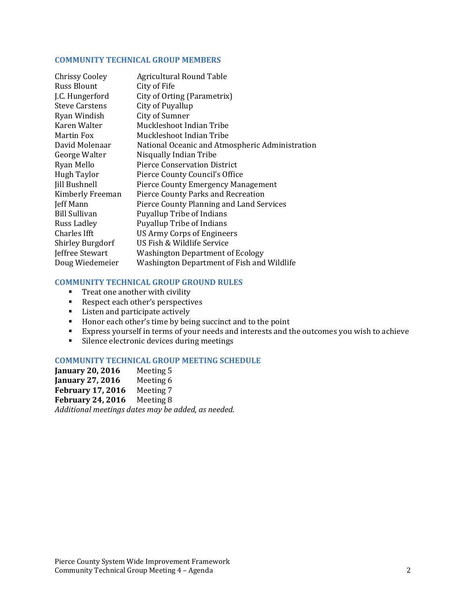### **COMMUNITY TECHNICAL GROUP MEMBERS**

| <b>Chrissy Cooley</b>   | <b>Agricultural Round Table</b>                 |
|-------------------------|-------------------------------------------------|
| <b>Russ Blount</b>      | City of Fife                                    |
| J.C. Hungerford         | City of Orting (Parametrix)                     |
| <b>Steve Carstens</b>   | City of Puyallup                                |
| Ryan Windish            | City of Sumner                                  |
| Karen Walter            | Muckleshoot Indian Tribe                        |
| Martin Fox              | Muckleshoot Indian Tribe                        |
| David Molenaar          | National Oceanic and Atmospheric Administration |
| George Walter           | Nisqually Indian Tribe                          |
| Ryan Mello              | <b>Pierce Conservation District</b>             |
| Hugh Taylor             | Pierce County Council's Office                  |
| <b>Jill Bushnell</b>    | <b>Pierce County Emergency Management</b>       |
| Kimberly Freeman        | Pierce County Parks and Recreation              |
| Jeff Mann               | Pierce County Planning and Land Services        |
| <b>Bill Sullivan</b>    | <b>Puyallup Tribe of Indians</b>                |
| Russ Ladley             | <b>Puyallup Tribe of Indians</b>                |
| Charles Ifft            | US Army Corps of Engineers                      |
| <b>Shirley Burgdorf</b> | US Fish & Wildlife Service                      |
| Jeffree Stewart         | <b>Washington Department of Ecology</b>         |
| Doug Wiedemeier         | Washington Department of Fish and Wildlife      |

# **COMMUNITY TECHNICAL GROUP GROUND RULES**

- $\blacksquare$  Treat one another with civility
- Respect each other's perspectives
- **EXECUTE:** Listen and participate actively
- Honor each other's time by being succinct and to the point
- Express yourself in terms of your needs and interests and the outcomes you wish to achieve
- Silence electronic devices during meetings

### **COMMUNITY TECHNICAL GROUP MEETING SCHEDULE**

**January 20, 2016** Meeting 5 **January 27, 2016** Meeting 6 **February 17, 2016** Meeting 7 **February 24, 2016** Meeting 8 *Additional meetings dates may be added, as needed.*